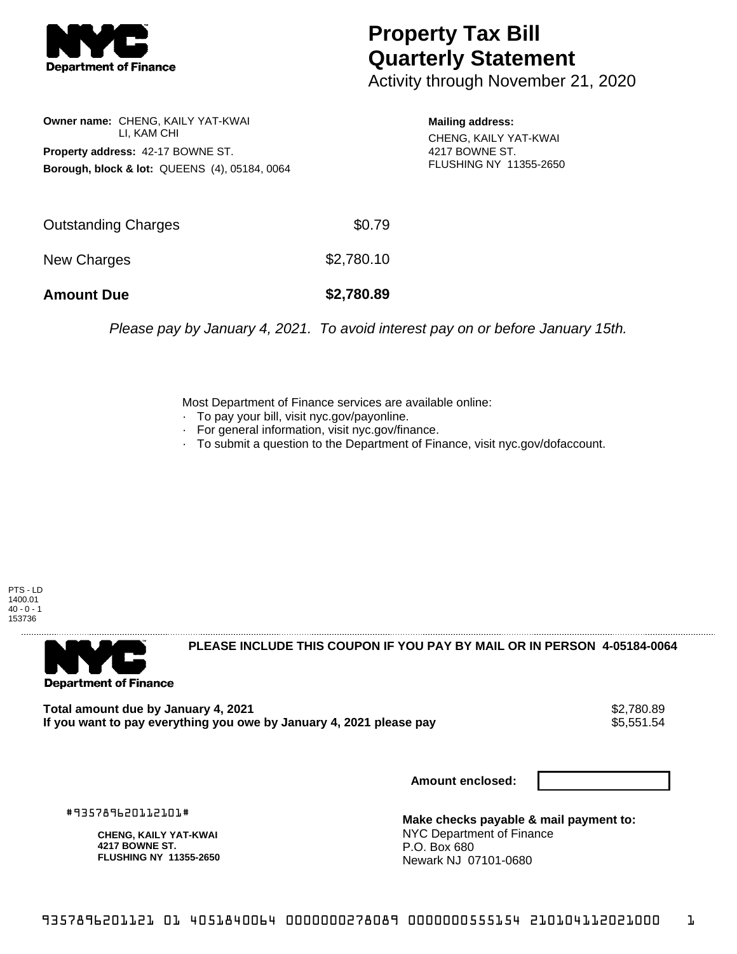

## **Property Tax Bill Quarterly Statement**

Activity through November 21, 2020

**Owner name:** CHENG, KAILY YAT-KWAI LI, KAM CHI **Property address:** 42-17 BOWNE ST. **Borough, block & lot:** QUEENS (4), 05184, 0064

**Mailing address:** CHENG, KAILY YAT-KWAI 4217 BOWNE ST. FLUSHING NY 11355-2650

| <b>Amount Due</b>   | \$2,780.89 |
|---------------------|------------|
| New Charges         | \$2,780.10 |
| Outstanding Charges | \$0.79     |

Please pay by January 4, 2021. To avoid interest pay on or before January 15th.

Most Department of Finance services are available online:

- · To pay your bill, visit nyc.gov/payonline.
- For general information, visit nyc.gov/finance.
- · To submit a question to the Department of Finance, visit nyc.gov/dofaccount.

PTS - LD 1400.01  $40 - 0 - 1$ 153736



**PLEASE INCLUDE THIS COUPON IF YOU PAY BY MAIL OR IN PERSON 4-05184-0064** 

Total amount due by January 4, 2021<br>If you want to pay everything you owe by January 4, 2021 please pay **shipped and the SS,551.54** If you want to pay everything you owe by January 4, 2021 please pay

**Amount enclosed:**

#935789620112101#

**CHENG, KAILY YAT-KWAI 4217 BOWNE ST. FLUSHING NY 11355-2650**

**Make checks payable & mail payment to:** NYC Department of Finance P.O. Box 680 Newark NJ 07101-0680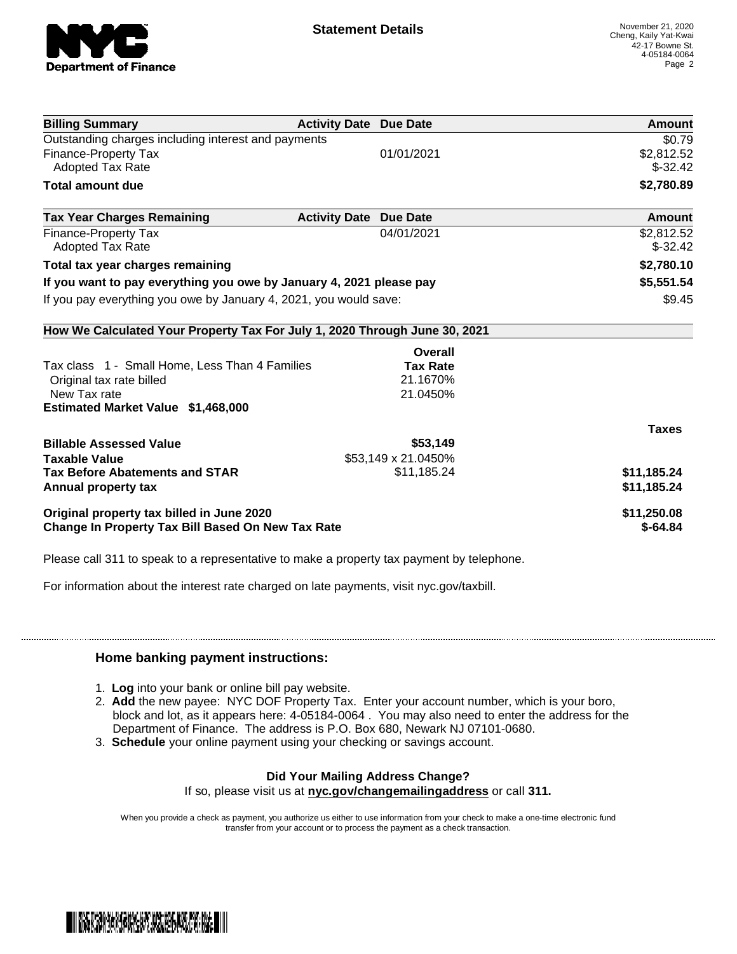

| <b>Billing Summary</b>                                                     | <b>Activity Date Due Date</b>           | Amount       |
|----------------------------------------------------------------------------|-----------------------------------------|--------------|
| Outstanding charges including interest and payments                        |                                         | \$0.79       |
| Finance-Property Tax                                                       | 01/01/2021                              | \$2,812.52   |
| <b>Adopted Tax Rate</b>                                                    |                                         | $$-32.42$    |
| <b>Total amount due</b>                                                    |                                         | \$2,780.89   |
| <b>Tax Year Charges Remaining</b>                                          | <b>Activity Date</b><br><b>Due Date</b> | Amount       |
| Finance-Property Tax                                                       | 04/01/2021                              | \$2,812.52   |
| Adopted Tax Rate                                                           |                                         | $$-32.42$    |
| Total tax year charges remaining                                           |                                         | \$2,780.10   |
| If you want to pay everything you owe by January 4, 2021 please pay        |                                         | \$5,551.54   |
| If you pay everything you owe by January 4, 2021, you would save:          |                                         | \$9.45       |
| How We Calculated Your Property Tax For July 1, 2020 Through June 30, 2021 |                                         |              |
|                                                                            | Overall                                 |              |
| Tax class 1 - Small Home, Less Than 4 Families                             | <b>Tax Rate</b>                         |              |
| Original tax rate billed                                                   | 21.1670%                                |              |
| New Tax rate                                                               | 21.0450%                                |              |
| Estimated Market Value \$1,468,000                                         |                                         |              |
|                                                                            |                                         | <b>Taxes</b> |
| <b>Billable Assessed Value</b>                                             | \$53,149                                |              |
| <b>Taxable Value</b>                                                       | \$53,149 x 21.0450%                     |              |
| <b>Tax Before Abatements and STAR</b>                                      | \$11,185.24                             | \$11,185.24  |
| Annual property tax                                                        |                                         | \$11,185.24  |
| Original property tax billed in June 2020                                  |                                         | \$11,250.08  |
| <b>Change In Property Tax Bill Based On New Tax Rate</b>                   |                                         | $$-64.84$    |

Please call 311 to speak to a representative to make a property tax payment by telephone.

For information about the interest rate charged on late payments, visit nyc.gov/taxbill.

## **Home banking payment instructions:**

- 1. **Log** into your bank or online bill pay website.
- 2. **Add** the new payee: NYC DOF Property Tax. Enter your account number, which is your boro, block and lot, as it appears here: 4-05184-0064 . You may also need to enter the address for the Department of Finance. The address is P.O. Box 680, Newark NJ 07101-0680.
- 3. **Schedule** your online payment using your checking or savings account.

## **Did Your Mailing Address Change?**

If so, please visit us at **nyc.gov/changemailingaddress** or call **311.**

When you provide a check as payment, you authorize us either to use information from your check to make a one-time electronic fund transfer from your account or to process the payment as a check transaction.